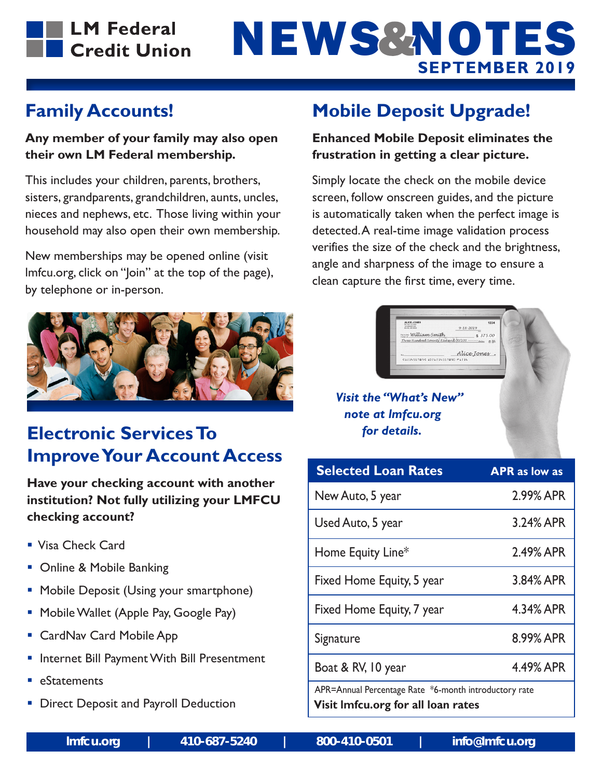

# **SEPTEMBER 2019** NEWS & NOTES

### **Family Accounts!**

#### **Any member of your family may also open their own LM Federal membership.**

This includes your children, parents, brothers, sisters, grandparents, grandchildren, aunts, uncles, nieces and nephews, etc. Those living within your household may also open their own membership.

New memberships may be opened online (visit lmfcu.org, click on "Join" at the top of the page), by telephone or in-person.



### **Electronic Services To Improve Your Account Access**

**Have your checking account with another institution? Not fully utilizing your LMFCU checking account?**

- Visa Check Card
- Online & Mobile Banking
- **Mobile Deposit (Using your smartphone)**
- **Mobile Wallet (Apple Pay, Google Pay)**
- CardNav Card Mobile App
- Internet Bill Payment With Bill Presentment
- eStatements
- Direct Deposit and Payroll Deduction

### **Mobile Deposit Upgrade!**

#### **Enhanced Mobile Deposit eliminates the frustration in getting a clear picture.**

Simply locate the check on the mobile device screen, follow onscreen guides, and the picture is automatically taken when the perfect image is detected. A real-time image validation process verifies the size of the check and the brightness, angle and sharpness of the image to ensure a clean capture the first time, every time.

**William Smith** 

 $9 - 18 - 2019$ 

n.<br>11231567891:102123156789011231

 $$375.00$ 

#### *Visit the "What's New" note at lmfcu.org for details.*

| <b>Selected Loan Rates</b>                            | <b>APR</b> as low as |
|-------------------------------------------------------|----------------------|
| New Auto, 5 year                                      | 2.99% APR            |
| Used Auto, 5 year                                     | 3.24% APR            |
| Home Equity Line*                                     | 2.49% APR            |
| Fixed Home Equity, 5 year                             | 3.84% APR            |
| Fixed Home Equity, 7 year                             | 4.34% APR            |
| Signature                                             | 8.99% APR            |
| Boat & RV, 10 year                                    | 4.49% APR            |
| APR=Annual Percentage Rate *6-month introductory rate |                      |

**Visit lmfcu.org for all loan rates**